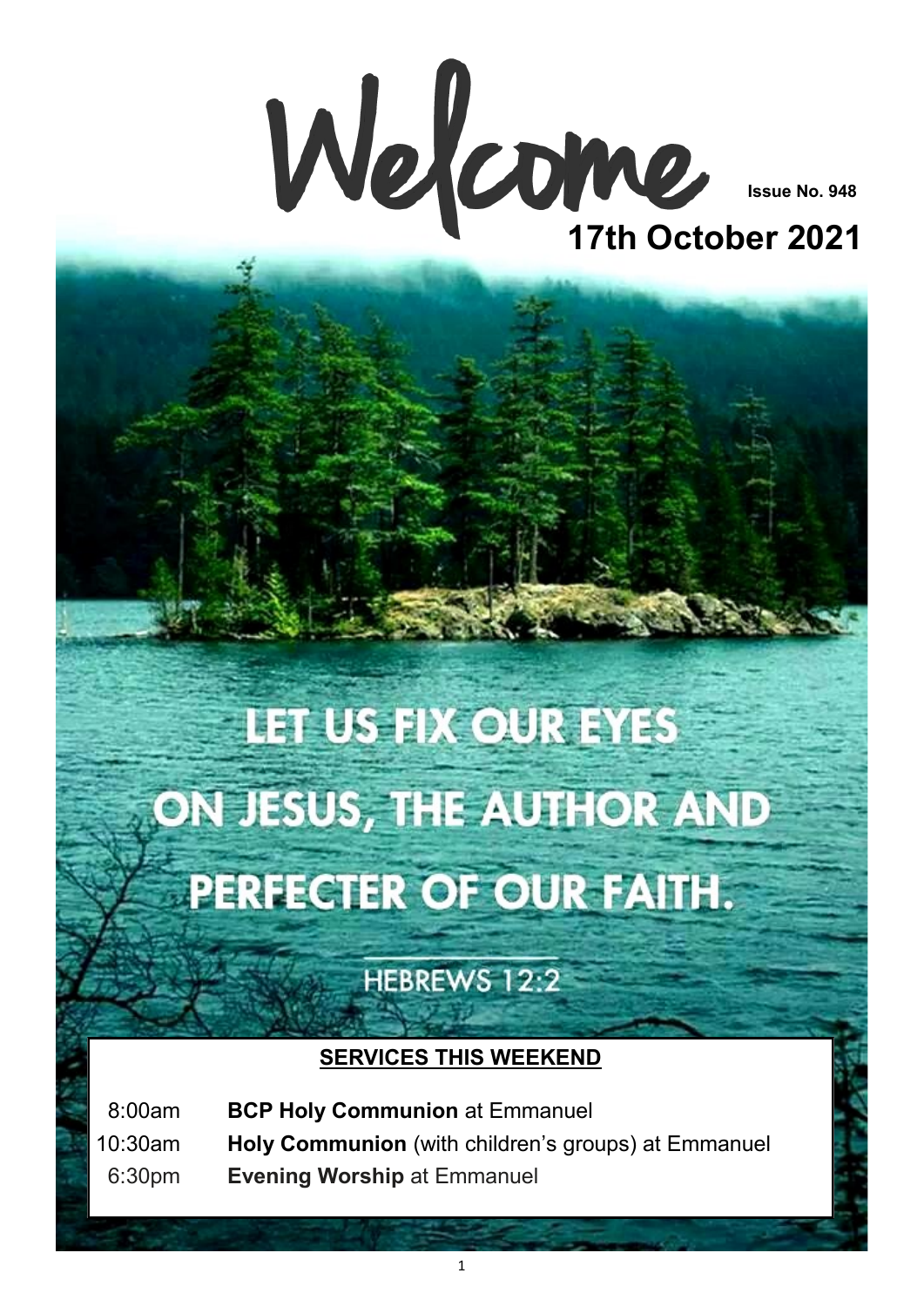

**Issue No. 948**

## **17th October 2021**

# **IET US FIX OUR EYES** ON JESUS, THE AUTHOR AND PERFECTER OF OUR FAITH.

HEBREWS 12:2

### **SERVICES THIS WEEKEND**

08:00am **BCP Holy Communion** at Emmanuel 10:30am **Holy Communion** (with children's groups) at Emmanuel 06:30pm **Evening Worship** at Emmanuel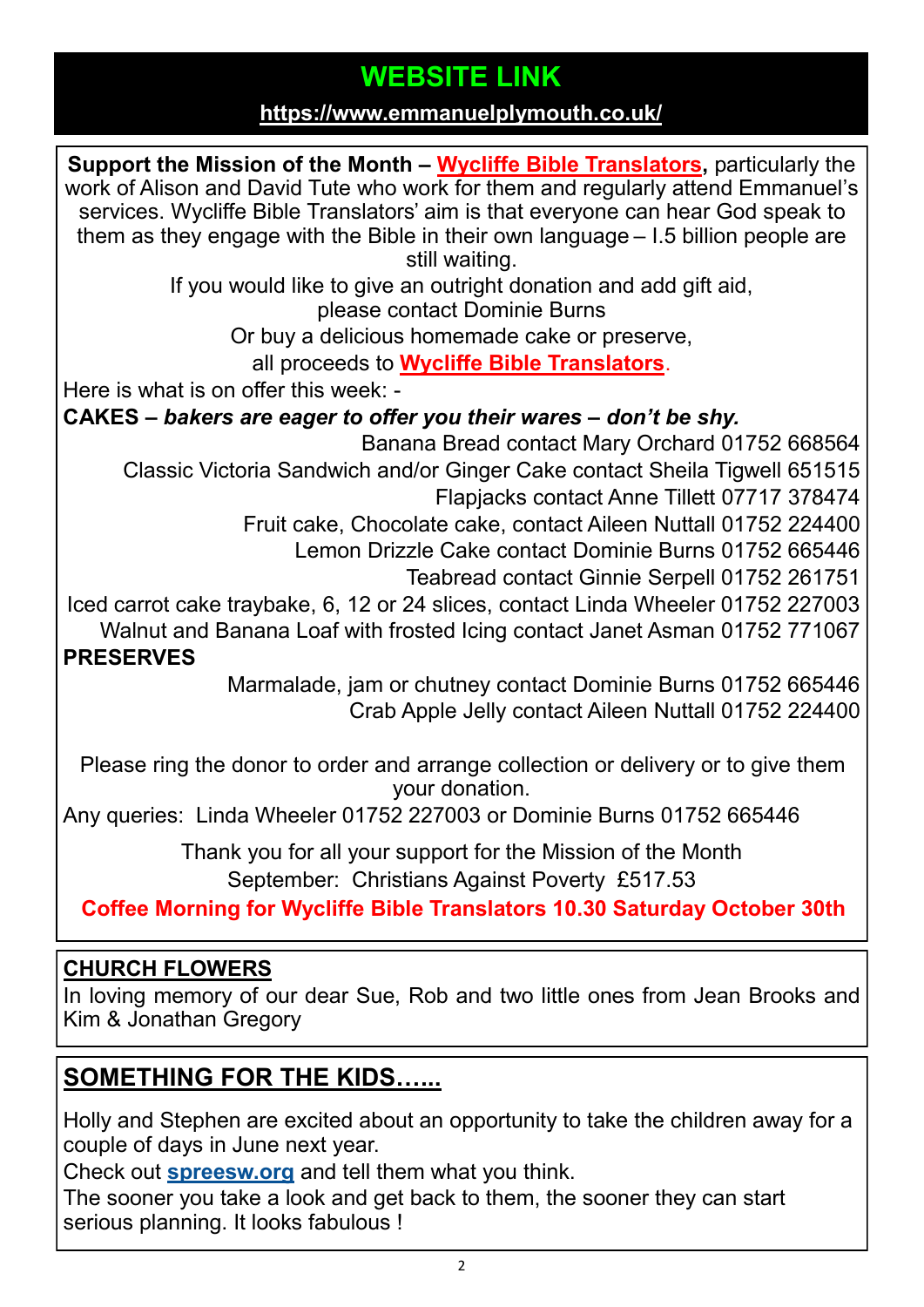## **WEBSITE LINK**

#### **<https://www.emmanuelplymouth.co.uk/>**

**Support the Mission of the Month – [Wycliffe Bible Translators,](https://www.wycliffe.org.uk/about/our-story/)** particularly the work of Alison and David Tute who work for them and regularly attend Emmanuel's services. Wycliffe Bible Translators' aim is that everyone can hear God speak to them as they engage with the Bible in their own language – I.5 billion people are still waiting. If you would like to give an outright donation and add gift aid, please contact Dominie Burns Or buy a delicious homemade cake or preserve, all proceeds to **[Wycliffe Bible Translators](https://www.wycliffe.org.uk/about/our-story/)**. Here is what is on offer this week: - **CAKES –** *bakers are eager to offer you their wares – don't be shy.*  Banana Bread contact Mary Orchard 01752 668564 Classic Victoria Sandwich and/or Ginger Cake contact Sheila Tigwell 651515 Flapjacks contact Anne Tillett 07717 378474 Fruit cake, Chocolate cake, contact Aileen Nuttall 01752 224400 Lemon Drizzle Cake contact Dominie Burns 01752 665446 Teabread contact Ginnie Serpell 01752 261751 Iced carrot cake traybake, 6, 12 or 24 slices, contact Linda Wheeler 01752 227003 Walnut and Banana Loaf with frosted Icing contact Janet Asman 01752 771067 **PRESERVES** Marmalade, jam or chutney contact Dominie Burns 01752 665446 Crab Apple Jelly contact Aileen Nuttall 01752 224400 Please ring the donor to order and arrange collection or delivery or to give them your donation. Any queries: Linda Wheeler 01752 227003 or Dominie Burns 01752 665446 Thank you for all your support for the Mission of the Month September: Christians Against Poverty £517.53

**Coffee Morning for Wycliffe Bible Translators 10.30 Saturday October 30th**

### **CHURCH FLOWERS**

In loving memory of our dear Sue, Rob and two little ones from Jean Brooks and Kim & Jonathan Gregory

## **SOMETHING FOR THE KIDS…...**

Holly and Stephen are excited about an opportunity to take the children away for a couple of days in June next year.

Check out **[spreesw.org](https://www.spreesw.org)** and tell them what you think.

The sooner you take a look and get back to them, the sooner they can start serious planning. It looks fabulous !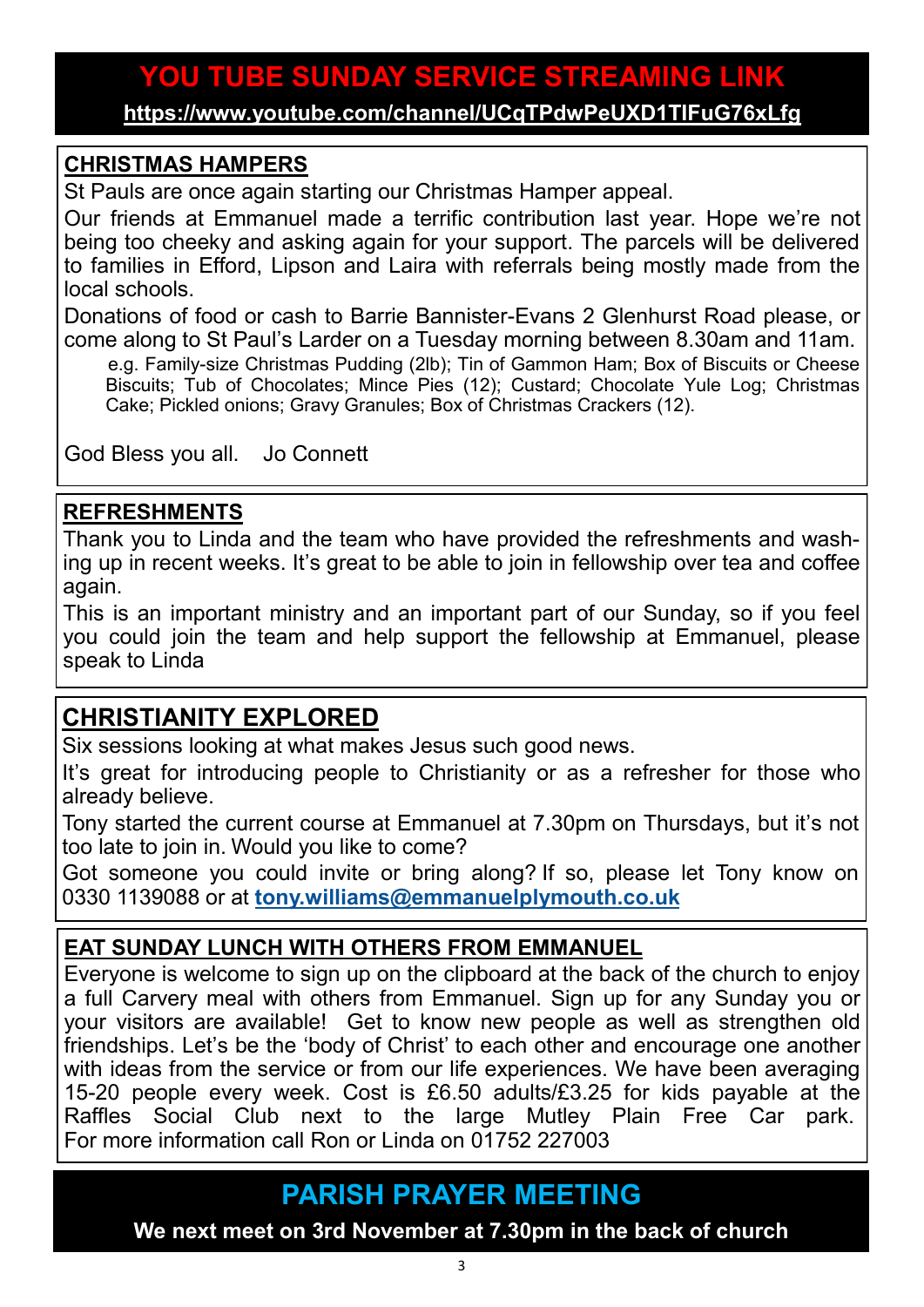## **YOU TUBE SUNDAY SERVICE STREAMING LINK**

**<https://www.youtube.com/channel/UCqTPdwPeUXD1TIFuG76xLfg>**

#### **CHRISTMAS HAMPERS**

St Pauls are once again starting our Christmas Hamper appeal.

Our friends at Emmanuel made a terrific contribution last year. Hope we're not being too cheeky and asking again for your support. The parcels will be delivered to families in Efford, Lipson and Laira with referrals being mostly made from the local schools.

Donations of food or cash to Barrie Bannister-Evans 2 Glenhurst Road please, or come along to St Paul's Larder on a Tuesday morning between 8.30am and 11am.

e.g. Family-size Christmas Pudding (2lb); Tin of Gammon Ham; Box of Biscuits or Cheese Biscuits; Tub of Chocolates; Mince Pies (12); Custard; Chocolate Yule Log; Christmas Cake; Pickled onions; Gravy Granules; Box of Christmas Crackers (12).

God Bless you all. Jo Connett

#### **REFRESHMENTS**

Thank you to Linda and the team who have provided the refreshments and washing up in recent weeks. It's great to be able to join in fellowship over tea and coffee again.

This is an important ministry and an important part of our Sunday, so if you feel you could join the team and help support the fellowship at Emmanuel, please speak to Linda

## **CHRISTIANITY EXPLORED**

Six sessions looking at what makes Jesus such good news.

It's great for introducing people to Christianity or as a refresher for those who already believe.

Tony started the current course at Emmanuel at 7.30pm on Thursdays, but it's not too late to join in. Would you like to come?

Got someone you could invite or bring along? If so, please let Tony know on 0330 1139088 or at **[tony.williams@emmanuelplymouth.co.uk](mailto:tony.williams@emmanuelplymouth.co.uk)**

### **EAT SUNDAY LUNCH WITH OTHERS FROM EMMANUEL**

Everyone is welcome to sign up on the clipboard at the back of the church to enjoy a full Carvery meal with others from Emmanuel. Sign up for any Sunday you or your visitors are available! Get to know new people as well as strengthen old friendships. Let's be the 'body of Christ' to each other and encourage one another with ideas from the service or from our life experiences. We have been averaging 15-20 people every week. Cost is £6.50 adults/£3.25 for kids payable at the Raffles Social Club next to the large Mutley Plain Free Car park. For more information call Ron or Linda on 01752 227003

**PARISH PRAYER MEETING**

**We next meet on 3rd November at 7.30pm in the back of church**